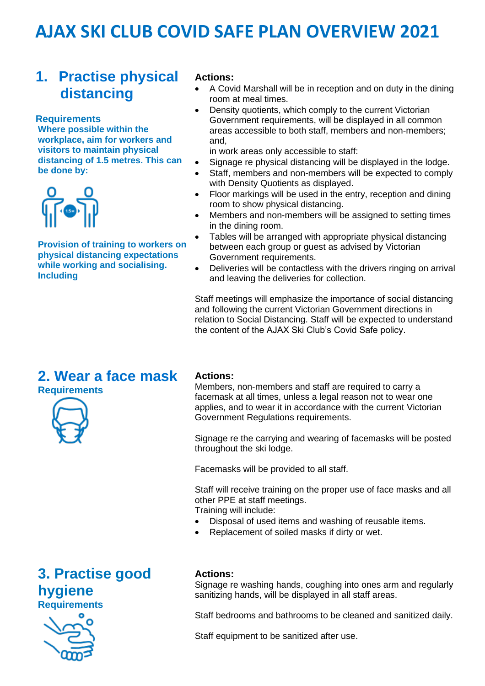### **1. Practise physical distancing**

**Requirements Where possible within the workplace, aim for workers and visitors to maintain physical distancing of 1.5 metres. This can be done by:** 



**Provision of training to workers on physical distancing expectations while working and socialising. Including**

#### **Actions:**

- A Covid Marshall will be in reception and on duty in the dining room at meal times.
- Density quotients, which comply to the current Victorian Government requirements, will be displayed in all common areas accessible to both staff, members and non-members; and,

in work areas only accessible to staff:

- Signage re physical distancing will be displayed in the lodge.
- Staff, members and non-members will be expected to comply with Density Quotients as displayed.
- Floor markings will be used in the entry, reception and dining room to show physical distancing.
- Members and non-members will be assigned to setting times in the dining room.
- Tables will be arranged with appropriate physical distancing between each group or guest as advised by Victorian Government requirements.
- Deliveries will be contactless with the drivers ringing on arrival and leaving the deliveries for collection.

Staff meetings will emphasize the importance of social distancing and following the current Victorian Government directions in relation to Social Distancing. Staff will be expected to understand the content of the AJAX Ski Club's Covid Safe policy.

### **2. Wear a face mask Requirements**



#### **Actions:**

Members, non-members and staff are required to carry a facemask at all times, unless a legal reason not to wear one applies, and to wear it in accordance with the current Victorian Government Regulations requirements.

Signage re the carrying and wearing of facemasks will be posted throughout the ski lodge.

Facemasks will be provided to all staff.

Staff will receive training on the proper use of face masks and all other PPE at staff meetings.

- Training will include:
- Disposal of used items and washing of reusable items.
- Replacement of soiled masks if dirty or wet.

### **3. Practise good hygiene Requirements**



#### **Actions:**

Signage re washing hands, coughing into ones arm and regularly sanitizing hands, will be displayed in all staff areas.

Staff bedrooms and bathrooms to be cleaned and sanitized daily.

Staff equipment to be sanitized after use.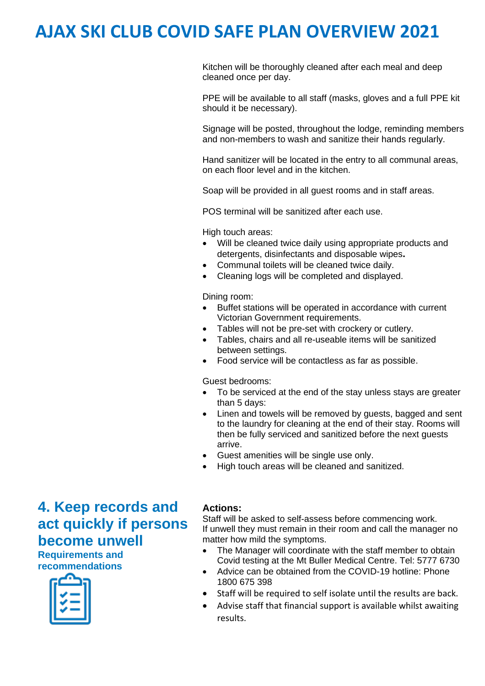Kitchen will be thoroughly cleaned after each meal and deep cleaned once per day.

PPE will be available to all staff (masks, gloves and a full PPE kit should it be necessary).

Signage will be posted, throughout the lodge, reminding members and non-members to wash and sanitize their hands regularly.

Hand sanitizer will be located in the entry to all communal areas, on each floor level and in the kitchen.

Soap will be provided in all guest rooms and in staff areas.

POS terminal will be sanitized after each use.

High touch areas:

- Will be cleaned twice daily using appropriate products and detergents, disinfectants and disposable wipes**.**
- Communal toilets will be cleaned twice daily.
- Cleaning logs will be completed and displayed.

Dining room:

- Buffet stations will be operated in accordance with current Victorian Government requirements.
- Tables will not be pre-set with crockery or cutlery.
- Tables, chairs and all re-useable items will be sanitized between settings.
- Food service will be contactless as far as possible.

Guest bedrooms:

- To be serviced at the end of the stay unless stays are greater than 5 days:
- Linen and towels will be removed by guests, bagged and sent to the laundry for cleaning at the end of their stay. Rooms will then be fully serviced and sanitized before the next guests arrive.
- Guest amenities will be single use only.
- High touch areas will be cleaned and sanitized.

## **4. Keep records and act quickly if persons become unwell**

**Requirements and recommendations** 



#### **Actions:**

Staff will be asked to self-assess before commencing work. If unwell they must remain in their room and call the manager no matter how mild the symptoms.

- The Manager will coordinate with the staff member to obtain Covid testing at the Mt Buller Medical Centre. Tel: 5777 6730
- Advice can be obtained from the COVID-19 hotline: Phone 1800 675 398
- Staff will be required to self isolate until the results are back.
- Advise staff that financial support is available whilst awaiting results.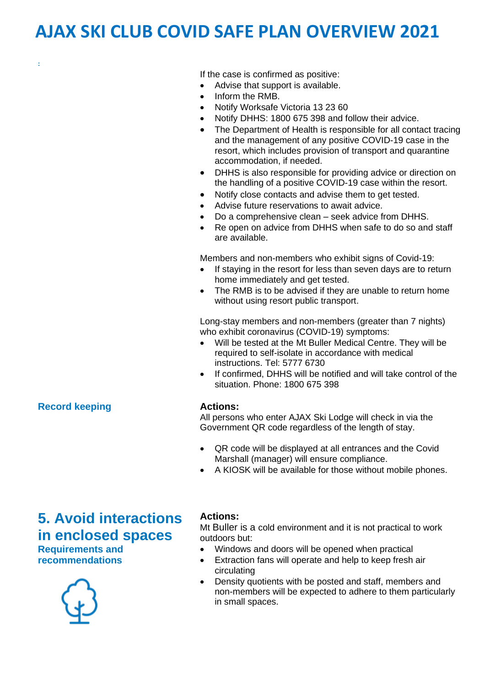If the case is confirmed as positive:

- Advise that support is available.
- Inform the RMB.
- Notify Worksafe Victoria 13 23 60
- Notify DHHS: 1800 675 398 and follow their advice.
- The Department of Health is responsible for all contact tracing and the management of any positive COVID-19 case in the resort, which includes provision of transport and quarantine accommodation, if needed.
- DHHS is also responsible for providing advice or direction on the handling of a positive COVID-19 case within the resort.
- Notify close contacts and advise them to get tested.
- Advise future reservations to await advice.
- Do a comprehensive clean seek advice from DHHS.
- Re open on advice from DHHS when safe to do so and staff are available.

Members and non-members who exhibit signs of Covid-19:

- If staying in the resort for less than seven days are to return home immediately and get tested.
- The RMB is to be advised if they are unable to return home without using resort public transport.

Long-stay members and non-members (greater than 7 nights) who exhibit coronavirus (COVID-19) symptoms:

- Will be tested at the Mt Buller Medical Centre. They will be required to self-isolate in accordance with medical instructions. Tel: 5777 6730
- If confirmed, DHHS will be notified and will take control of the situation. Phone: 1800 675 398

#### **Actions:**

All persons who enter AJAX Ski Lodge will check in via the Government QR code regardless of the length of stay.

- QR code will be displayed at all entrances and the Covid Marshall (manager) will ensure compliance.
- A KIOSK will be available for those without mobile phones.

## **5. Avoid interactions in enclosed spaces**

**Requirements and recommendations**



#### **Actions:**

Mt Buller is a cold environment and it is not practical to work outdoors but:

- Windows and doors will be opened when practical
- Extraction fans will operate and help to keep fresh air circulating
- Density quotients with be posted and staff, members and non-members will be expected to adhere to them particularly in small spaces.

#### **Record keeping**

**:**